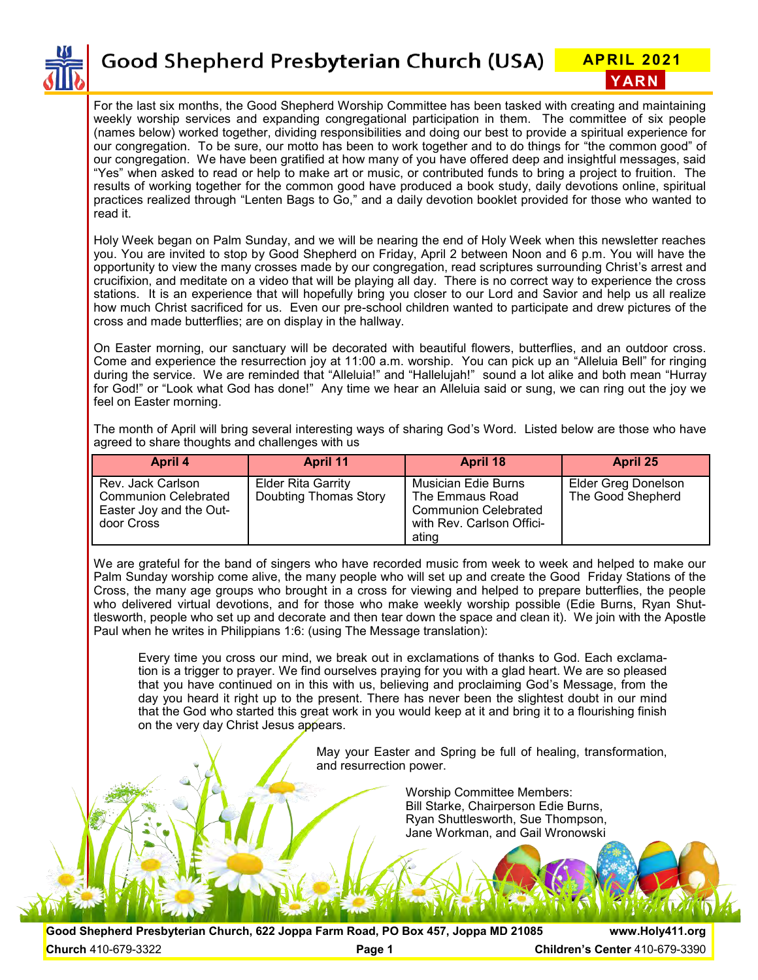

**Good Shepherd Presbyterian Church (USA)** APRIL 2021

For the last six months, the Good Shepherd Worship Committee has been tasked with creating and maintaining weekly worship services and expanding congregational participation in them. The committee of six people (names below) worked together, dividing responsibilities and doing our best to provide a spiritual experience for our congregation. To be sure, our motto has been to work together and to do things for "the common good" of our congregation. We have been gratified at how many of you have offered deep and insightful messages, said "Yes" when asked to read or help to make art or music, or contributed funds to bring a project to fruition. The results of working together for the common good have produced a book study, daily devotions online, spiritual practices realized through "Lenten Bags to Go," and a daily devotion booklet provided for those who wanted to read it.

Holy Week began on Palm Sunday, and we will be nearing the end of Holy Week when this newsletter reaches you. You are invited to stop by Good Shepherd on Friday, April 2 between Noon and 6 p.m. You will have the opportunity to view the many crosses made by our congregation, read scriptures surrounding Christ's arrest and crucifixion, and meditate on a video that will be playing all day. There is no correct way to experience the cross stations. It is an experience that will hopefully bring you closer to our Lord and Savior and help us all realize how much Christ sacrificed for us. Even our pre-school children wanted to participate and drew pictures of the cross and made butterflies; are on display in the hallway.

On Easter morning, our sanctuary will be decorated with beautiful flowers, butterflies, and an outdoor cross. Come and experience the resurrection joy at 11:00 a.m. worship. You can pick up an "Alleluia Bell" for ringing during the service. We are reminded that "Alleluia!" and "Hallelujah!" sound a lot alike and both mean "Hurray for God!" or "Look what God has done!" Any time we hear an Alleluia said or sung, we can ring out the joy we feel on Easter morning.

The month of April will bring several interesting ways of sharing God's Word. Listed below are those who have agreed to share thoughts and challenges with us

| April 4                                                                                   | <b>April 11</b>                                    | April 18                                                                                                    | April 25                                        |
|-------------------------------------------------------------------------------------------|----------------------------------------------------|-------------------------------------------------------------------------------------------------------------|-------------------------------------------------|
| Rev. Jack Carlson<br><b>Communion Celebrated</b><br>Easter Joy and the Out-<br>door Cross | <b>Elder Rita Garrity</b><br>Doubting Thomas Story | Musician Edie Burns<br>The Emmaus Road<br><b>Communion Celebrated</b><br>with Rev. Carlson Offici-<br>ating | <b>Elder Greg Donelson</b><br>The Good Shepherd |

We are grateful for the band of singers who have recorded music from week to week and helped to make our Palm Sunday worship come alive, the many people who will set up and create the Good Friday Stations of the Cross, the many age groups who brought in a cross for viewing and helped to prepare butterflies, the people who delivered virtual devotions, and for those who make weekly worship possible (Edie Burns, Ryan Shuttlesworth, people who set up and decorate and then tear down the space and clean it). We join with the Apostle Paul when he writes in Philippians 1:6: (using The Message translation):

Every time you cross our mind, we break out in exclamations of thanks to God. Each exclamation is a trigger to prayer. We find ourselves praying for you with a glad heart. We are so pleased that you have continued on in this with us, believing and proclaiming God's Message, from the day you heard it right up to the present. There has never been the slightest doubt in our mind that the God who started this great work in you would keep at it and bring it to a flourishing finish on the very day Christ Jesus appears.

> May your Easter and Spring be full of healing, transformation, and resurrection power.

> > Worship Committee Members: Bill Starke, Chairperson Edie Burns, Ryan Shuttlesworth, Sue Thompson, Jane Workman, and Gail Wronowski

**Good Shepherd Presbyterian Church, 622 Joppa Farm Road, PO Box 457, Joppa MD 21085 www.Holy411.org Church** 410-679-3322 **Page 1 Children's Center** 410-679-3390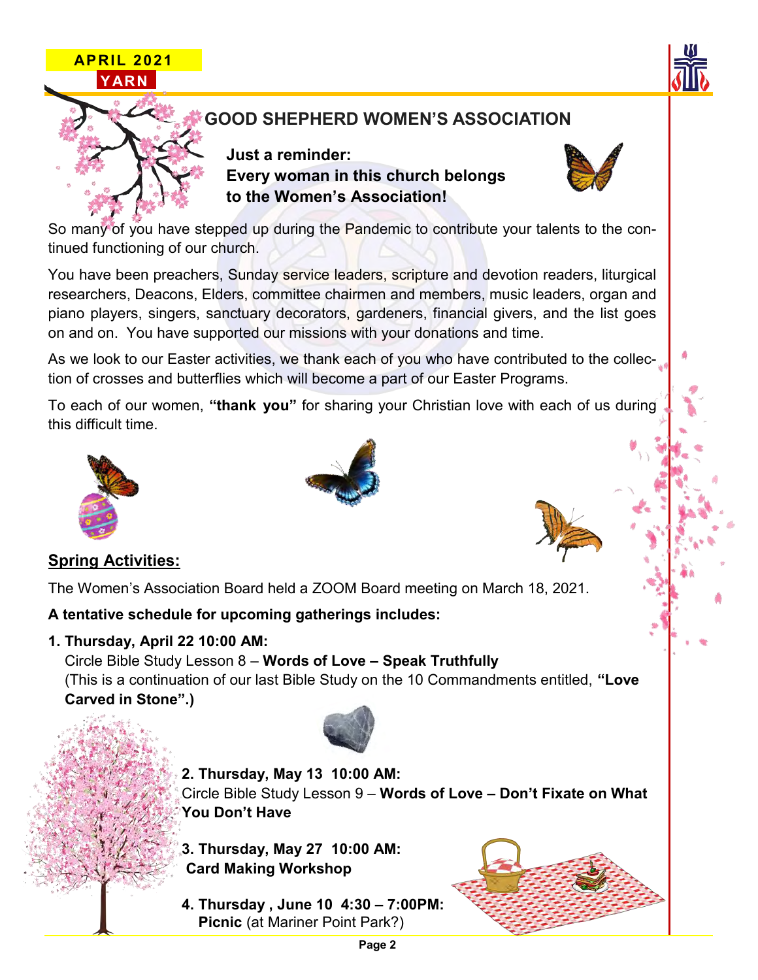



So many of you have stepped up during the Pandemic to contribute your talents to the continued functioning of our church.

You have been preachers, Sunday service leaders, scripture and devotion readers, liturgical researchers, Deacons, Elders, committee chairmen and members, music leaders, organ and piano players, singers, sanctuary decorators, gardeners, financial givers, and the list goes on and on. You have supported our missions with your donations and time.

As we look to our Easter activities, we thank each of you who have contributed to the collection of crosses and butterflies which will become a part of our Easter Programs.

To each of our women, **"thank you"** for sharing your Christian love with each of us during this difficult time.



## **Spring Activities:**

The Women's Association Board held a ZOOM Board meeting on March 18, 2021.

#### **A tentative schedule for upcoming gatherings includes:**

**1. Thursday, April 22 10:00 AM:**

 Circle Bible Study Lesson 8 – **Words of Love – Speak Truthfully** (This is a continuation of our last Bible Study on the 10 Commandments entitled, **"Love Carved in Stone".)**



**2. Thursday, May 13 10:00 AM:**

 Circle Bible Study Lesson 9 – **Words of Love – Don't Fixate on What You Don't Have**

**3. Thursday, May 27 10:00 AM: Card Making Workshop**

**4. Thursday , June 10 4:30 – 7:00PM: Picnic** (at Mariner Point Park?)



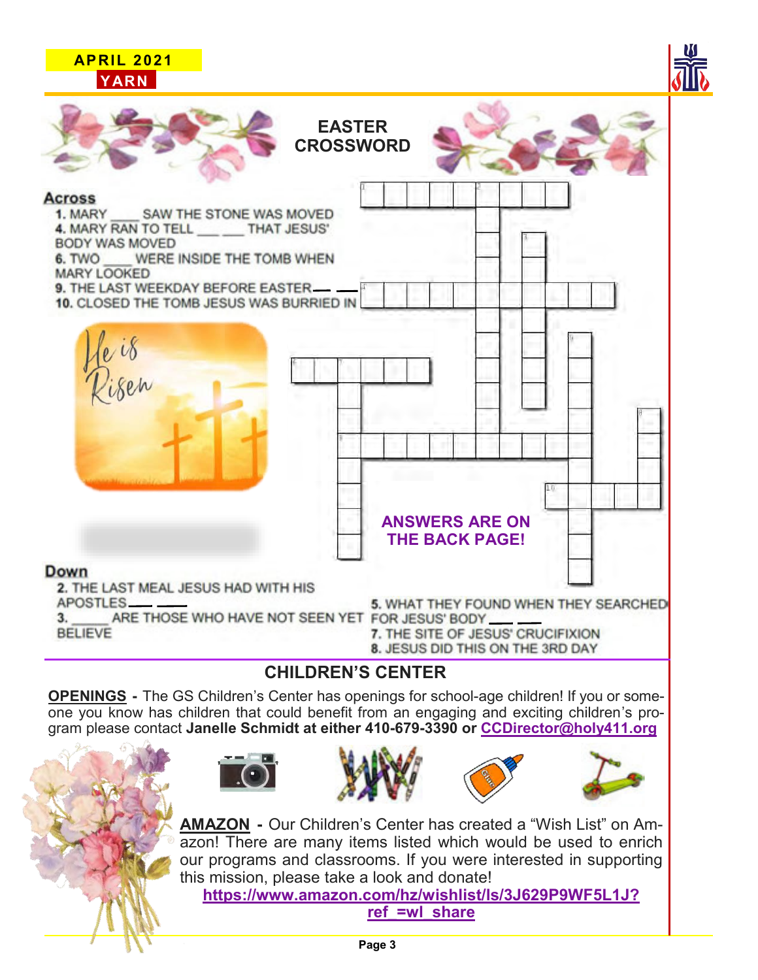

**OPENINGS -** The GS Children's Center has openings for school-age children! If you or someone you know has children that could benefit from an engaging and exciting children's program please contact **Janelle Schmidt at either 410-679-3390 or CCDirector@holy411.org**







**AMAZON -** Our Children's Center has created a "Wish List" on Amazon! There are many items listed which would be used to enrich our programs and classrooms. If you were interested in supporting this mission, please take a look and donate!

**https://www.amazon.com/hz/wishlist/ls/3J629P9WF5L1J? ref\_=wl\_share**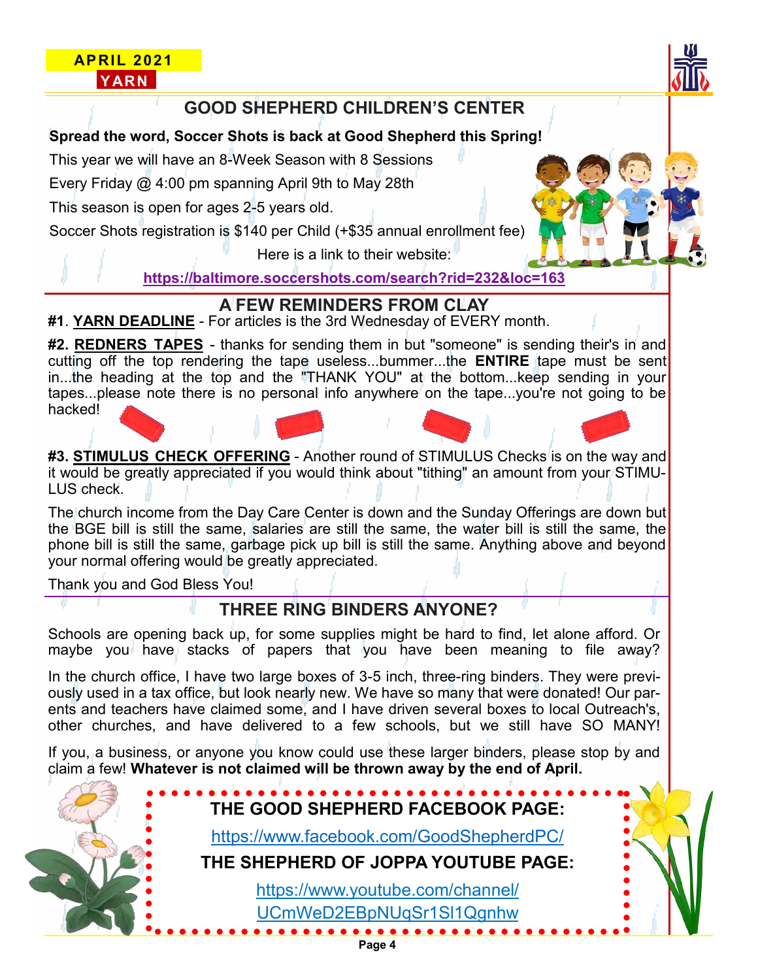### **APRIL 2021 YARN**



#### **Spread the word, Soccer Shots is back at Good Shepherd this Spring!**

This year we will have an 8-Week Season with 8 Sessions

Every Friday @ 4:00 pm spanning April 9th to May 28th

This season is open for ages 2-5 years old.

Soccer Shots registration is \$140 per Child (+\$35 annual enrollment fee)

Here is a link to their website:

**https://baltimore.soccershots.com/search?rid=232&loc=163**

## **A FEW REMINDERS FROM CLAY**

**#1**. **YARN DEADLINE** - For articles is the 3rd Wednesday of EVERY month.

**#2. REDNERS TAPES** - thanks for sending them in but "someone" is sending their's in and cutting off the top rendering the tape useless...bummer...the **ENTIRE** tape must be sent in...the heading at the top and the "THANK YOU" at the bottom...keep sending in your tapes...please note there is no personal info anywhere on the tape...you're not going to be hacked!

**#3. STIMULUS CHECK OFFERING** - Another round of STIMULUS Checks is on the way and it would be greatly appreciated if you would think about "tithing" an amount from your STIMU-LUS check.

The church income from the Day Care Center is down and the Sunday Offerings are down but the BGE bill is still the same, salaries are still the same, the water bill is still the same, the phone bill is still the same, garbage pick up bill is still the same. Anything above and beyond your normal offering would be greatly appreciated.

Thank you and God Bless You!

## **THREE RING BINDERS ANYONE?**

Schools are opening back up, for some supplies might be hard to find, let alone afford. Or maybe you have stacks of papers that you have been meaning to file away?

In the church office, I have two large boxes of 3-5 inch, three-ring binders. They were previously used in a tax office, but look nearly new. We have so many that were donated! Our parents and teachers have claimed some, and I have driven several boxes to local Outreach's, other churches, and have delivered to a few schools, but we still have SO MANY!

If you, a business, or anyone you know could use these larger binders, please stop by and claim a few! **Whatever is not claimed will be thrown away by the end of April.**

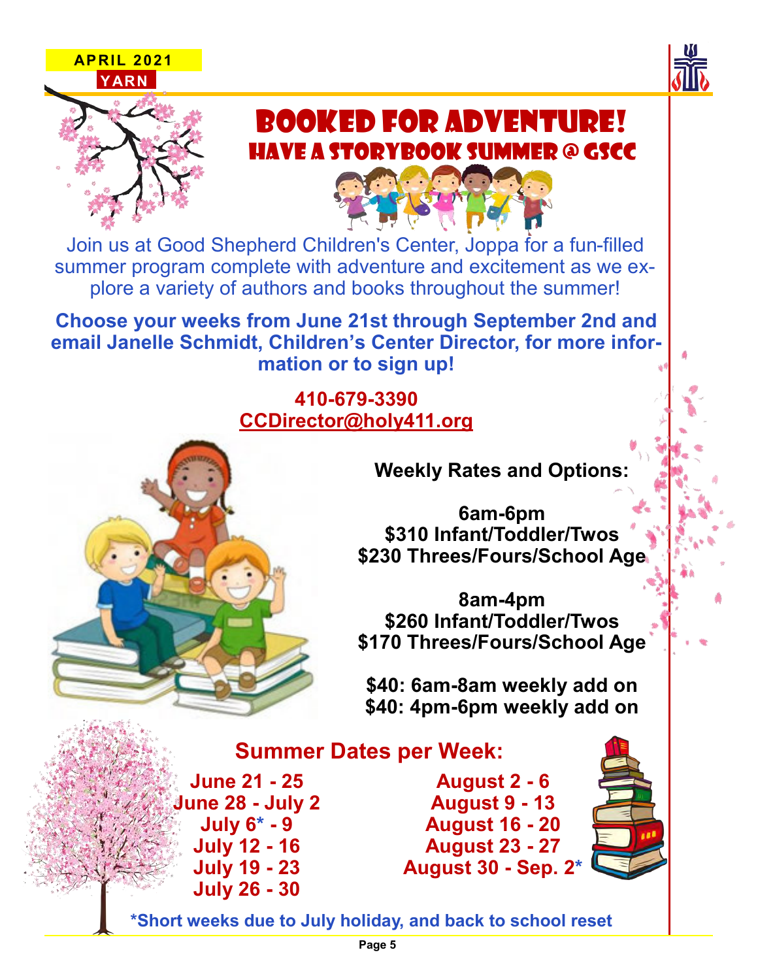





# BOOKED FOR ADVENTURE!  $\overline{\phantom{a}}$ HAVE A STORYBOOK SUMMER @ GSCC

Join us at Good Shepherd Children's Center, Joppa for a fun-filled summer program complete with adventure and excitement as we explore a variety of authors and books throughout the summer!

**Choose your weeks from June 21st through September 2nd and email Janelle Schmidt, Children's Center Director, for more information or to sign up!**

# **410-679-3390 CCDirector@holy411.org**

**Weekly Rates and Options:**

**6am-6pm \$310 Infant/Toddler/Twos \$230 Threes/Fours/School Age**

**8am-4pm \$260 Infant/Toddler/Twos \$170 Threes/Fours/School Age**

**\$40: 6am-8am weekly add on \$40: 4pm-6pm weekly add on** 

# **Summer Dates per Week:**

**June 21 - 25 June 28 - July 2 July 6\* - 9 July 12 - 16 July 19 - 23 July 26 - 30**

**August 2 - 6 August 9 - 13 August 16 - 20 August 23 - 27 August 30 - Sep. 2\***



**\*Short weeks due to July holiday, and back to school reset**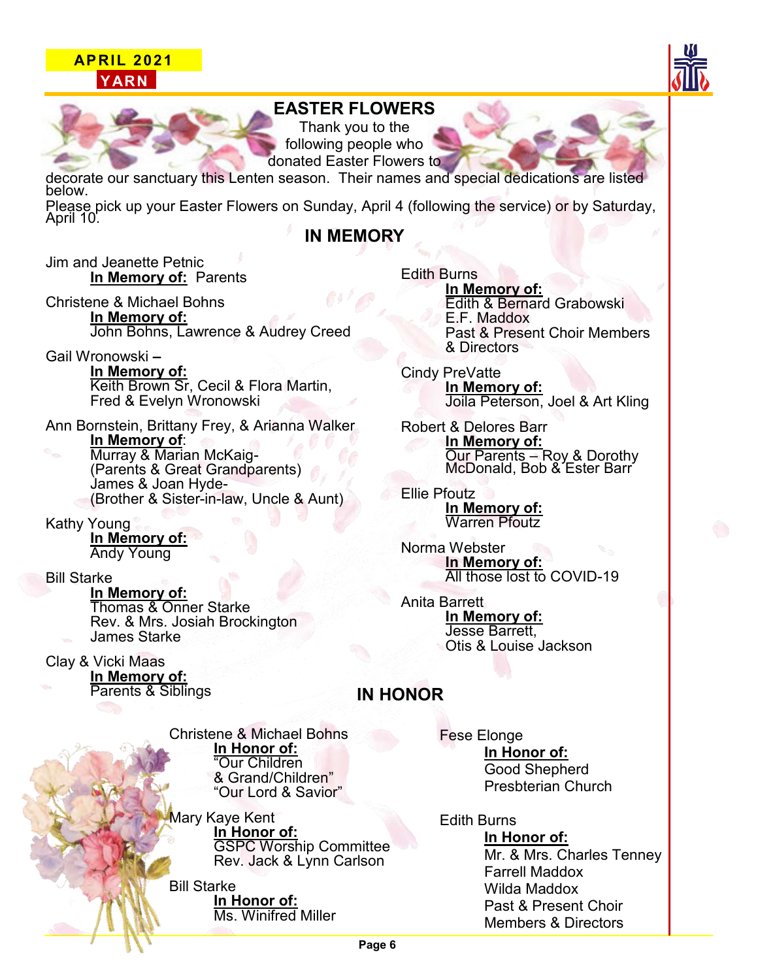#### **APRIL 2021 YARN**





### **EASTER FLOWERS**

Thank you to the following people who donated Easter Flowers to

decorate our sanctuary this Lenten season. Their names and special dedications are listed below.

Please pick up your Easter Flowers on Sunday, April 4 (following the service) or by Saturday, April 10.

#### **IN MEMORY**

Jim and Jeanette Petnic **In Memory of:** Parents

Christene & Michael Bohns **In Memory of:** John Bohns, Lawrence & Audrey Creed

Gail Wronowski **– In Memory of: Keith Brown Sr, Cecil & Flora Martin,** Fred & Evelyn Wronowski

Ann Bornstein, Brittany Frey, & Arianna Walker **In Memory of**: Murray & Marian McKaig- (Parents & Great Grandparents) James & Joan Hyde- (Brother & Sister-in-law, Uncle & Aunt)

Kathy Young **In Memory of:** Andy Young

#### Bill Starke

**In Memory of:** Thomas & Onner Starke Rev. & Mrs. Josiah Brockington James Starke

Clay & Vicki Maas **In Memory of:** Parents & Siblings

Christene & Michael Bohns **In Honor of:** "Our Children & Grand/Children" "Our Lord & Savior"

Mary Kaye Kent **In Honor of:** GSPC Worship Committee Rev. Jack & Lynn Carlson

Bill Starke **In Honor of:** Ms. Winifred Miller Edith Burns **In Memory of:** Edith & Bernard Grabowski E.F. Maddox Past & Present Choir Members & Directors

Cindy PreVatte **In Memory of:** Joila Peterson, Joel & Art Kling

Robert & Delores Barr **In Memory of:** Our Parents – Roy & Dorothy McDonald, Bob & Ester Barr

Ellie Pfoutz **In Memory of:** Warren Pfoutz

Norma Webster **In Memory of:** All those lost to COVID-19

Anita Barrett **In Memory of:** Jesse Barrett, Otis & Louise Jackson

#### **IN HONOR**

Fese Elonge **In Honor of:** Good Shepherd Presbterian Church

Edith Burns **In Honor of:** Mr. & Mrs. Charles Tenney Farrell Maddox Wilda Maddox Past & Present Choir Members & Directors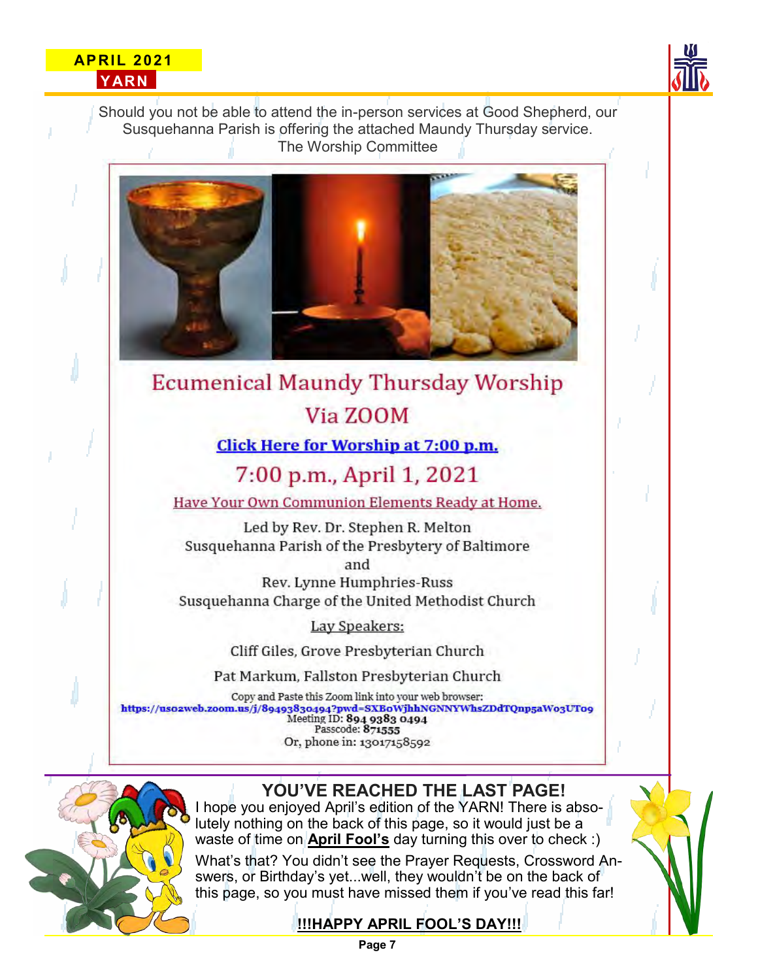#### **APRIL 2021 YARN**



Should you not be able to attend the in-person services at Good Shepherd, our Susquehanna Parish is offering the attached Maundy Thursday service. The Worship Committee



**Ecumenical Maundy Thursday Worship** Via ZOOM

**Click Here for Worship at 7:00 p.m.** 

# 7:00 p.m., April 1, 2021

Have Your Own Communion Elements Ready at Home.

Led by Rev. Dr. Stephen R. Melton Susquehanna Parish of the Presbytery of Baltimore

and

Rev. Lynne Humphries-Russ Susquehanna Charge of the United Methodist Church

Lay Speakers:

Cliff Giles, Grove Presbyterian Church

Pat Markum, Fallston Presbyterian Church

Copy and Paste this Zoom link into your web browser: https://usozweb.zoom.us/j/89493830494?pwd=SXBoWjhhNGNNYWhsZDdTQnp5aWo3UTo9<br>Meeting ID: 894 9383 0494<br>Passcode: 871555 Or, phone in: 13017158592



# **YOU'VE REACHED THE LAST PAGE!**

I hope you enjoyed April's edition of the YARN! There is absolutely nothing on the back of this page, so it would just be a waste of time on **April Fool's** day turning this over to check :)

What's that? You didn't see the Prayer Requests, Crossword Answers, or Birthday's yet...well, they wouldn't be on the back of this page, so you must have missed them if you've read this far!

## **!!!HAPPY APRIL FOOL'S DAY!!!**